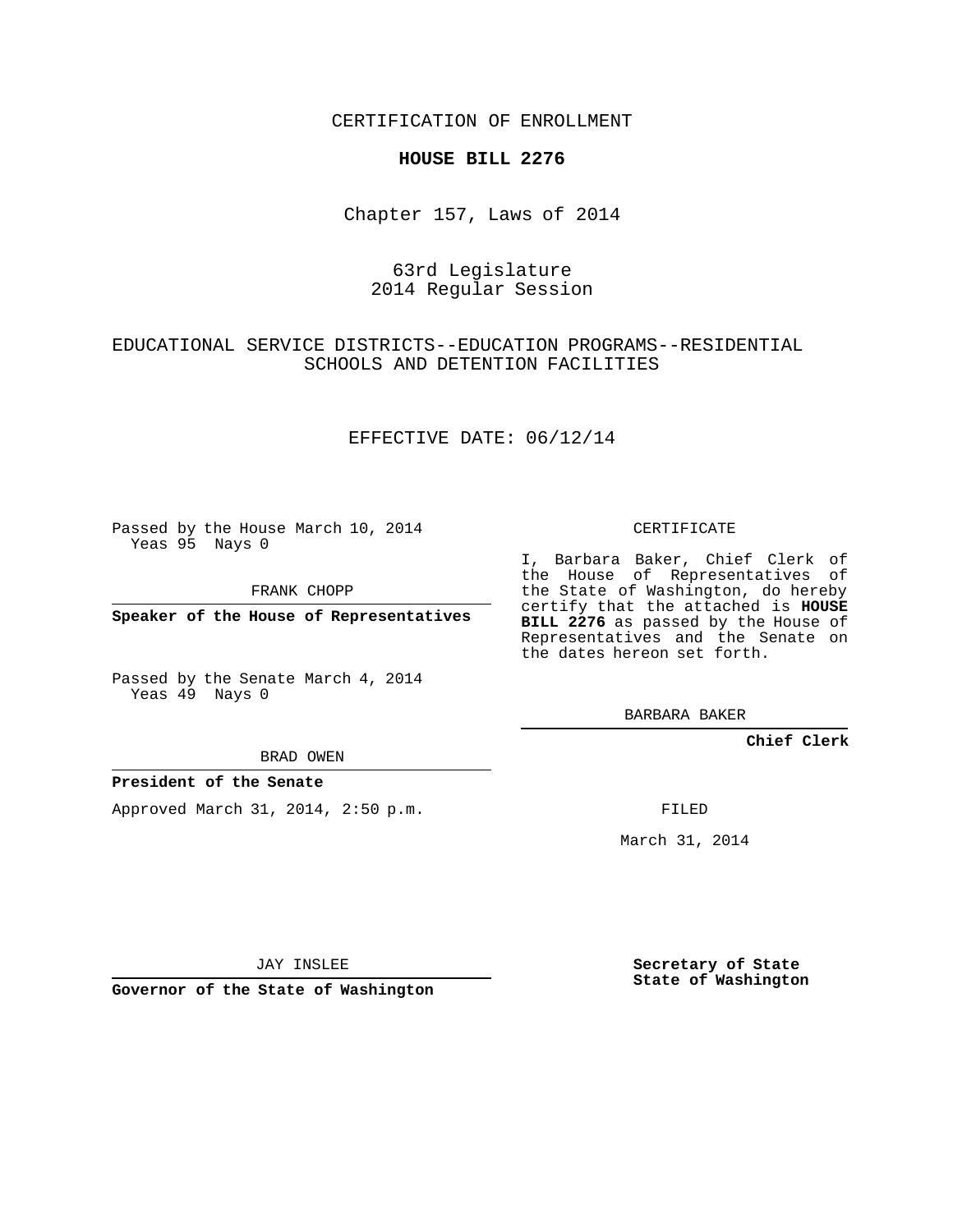CERTIFICATION OF ENROLLMENT

## **HOUSE BILL 2276**

Chapter 157, Laws of 2014

# 63rd Legislature 2014 Regular Session

# EDUCATIONAL SERVICE DISTRICTS--EDUCATION PROGRAMS--RESIDENTIAL SCHOOLS AND DETENTION FACILITIES

## EFFECTIVE DATE: 06/12/14

Passed by the House March 10, 2014 Yeas 95 Nays 0

FRANK CHOPP

**Speaker of the House of Representatives**

Passed by the Senate March 4, 2014 Yeas 49 Nays 0

BRAD OWEN

## **President of the Senate**

Approved March 31, 2014, 2:50 p.m.

CERTIFICATE

I, Barbara Baker, Chief Clerk of the House of Representatives of the State of Washington, do hereby certify that the attached is **HOUSE BILL 2276** as passed by the House of Representatives and the Senate on the dates hereon set forth.

BARBARA BAKER

**Chief Clerk**

FILED

March 31, 2014

JAY INSLEE

**Governor of the State of Washington**

**Secretary of State State of Washington**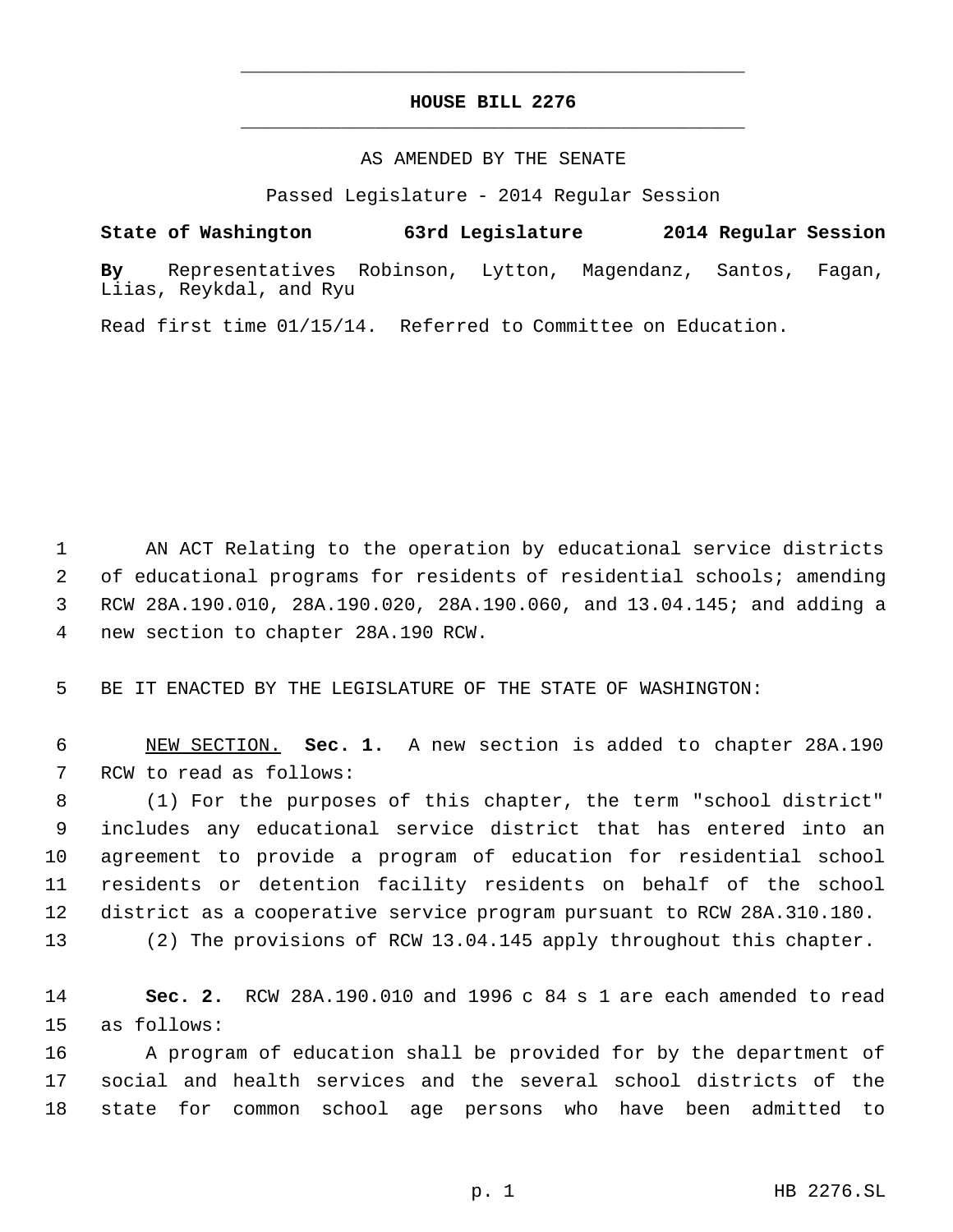# **HOUSE BILL 2276** \_\_\_\_\_\_\_\_\_\_\_\_\_\_\_\_\_\_\_\_\_\_\_\_\_\_\_\_\_\_\_\_\_\_\_\_\_\_\_\_\_\_\_\_\_

\_\_\_\_\_\_\_\_\_\_\_\_\_\_\_\_\_\_\_\_\_\_\_\_\_\_\_\_\_\_\_\_\_\_\_\_\_\_\_\_\_\_\_\_\_

#### AS AMENDED BY THE SENATE

Passed Legislature - 2014 Regular Session

**State of Washington 63rd Legislature 2014 Regular Session**

**By** Representatives Robinson, Lytton, Magendanz, Santos, Fagan, Liias, Reykdal, and Ryu

Read first time 01/15/14. Referred to Committee on Education.

 AN ACT Relating to the operation by educational service districts of educational programs for residents of residential schools; amending RCW 28A.190.010, 28A.190.020, 28A.190.060, and 13.04.145; and adding a new section to chapter 28A.190 RCW.

BE IT ENACTED BY THE LEGISLATURE OF THE STATE OF WASHINGTON:

 NEW SECTION. **Sec. 1.** A new section is added to chapter 28A.190 RCW to read as follows:

 (1) For the purposes of this chapter, the term "school district" includes any educational service district that has entered into an agreement to provide a program of education for residential school residents or detention facility residents on behalf of the school district as a cooperative service program pursuant to RCW 28A.310.180.

(2) The provisions of RCW 13.04.145 apply throughout this chapter.

 **Sec. 2.** RCW 28A.190.010 and 1996 c 84 s 1 are each amended to read as follows:

 A program of education shall be provided for by the department of social and health services and the several school districts of the state for common school age persons who have been admitted to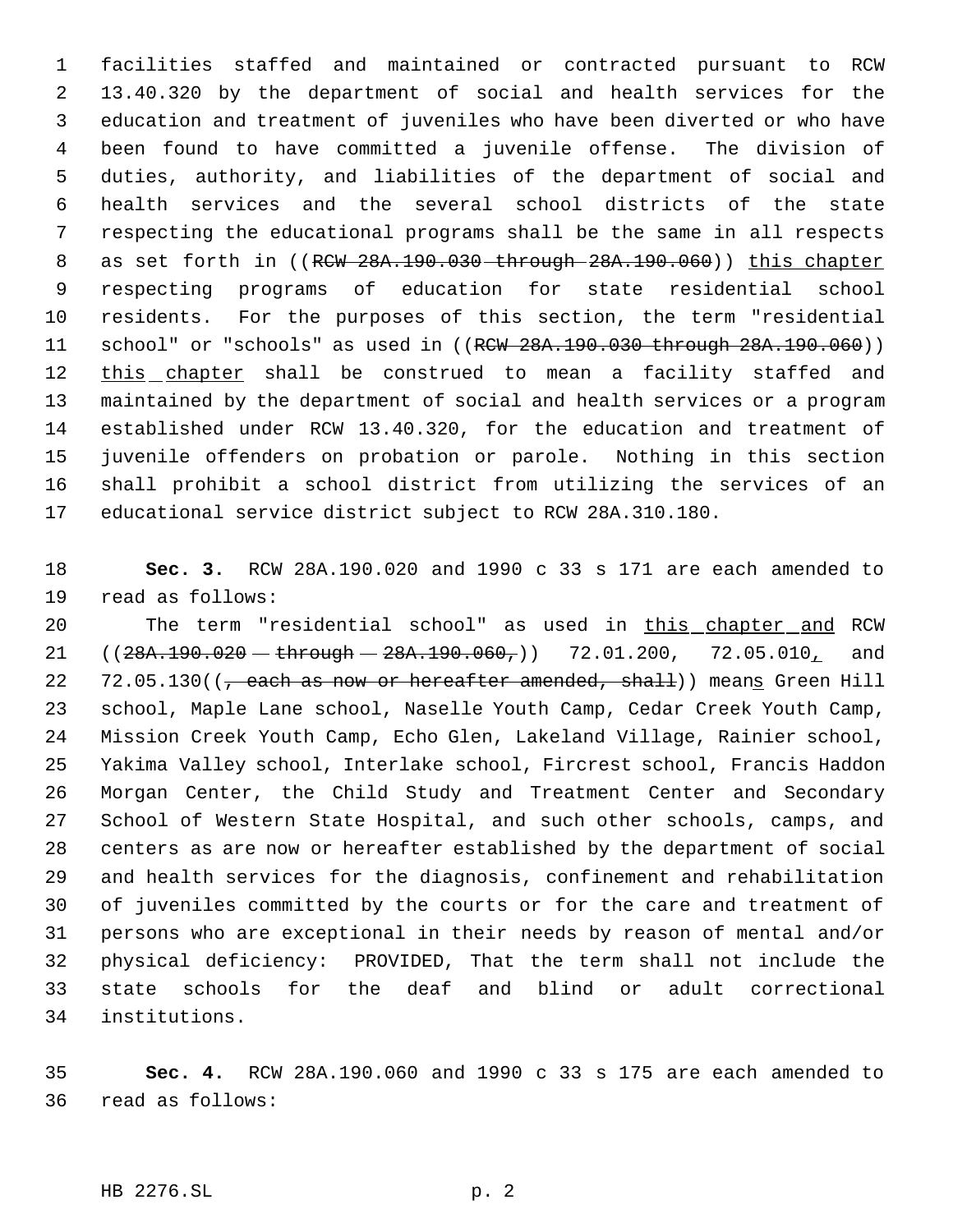facilities staffed and maintained or contracted pursuant to RCW 13.40.320 by the department of social and health services for the education and treatment of juveniles who have been diverted or who have been found to have committed a juvenile offense. The division of duties, authority, and liabilities of the department of social and health services and the several school districts of the state respecting the educational programs shall be the same in all respects 8 as set forth in ((RCW 28A.190.030 through 28A.190.060)) this chapter respecting programs of education for state residential school residents. For the purposes of this section, the term "residential 11 school" or "schools" as used in ((RCW 28A.190.030 through 28A.190.060)) this chapter shall be construed to mean a facility staffed and maintained by the department of social and health services or a program established under RCW 13.40.320, for the education and treatment of juvenile offenders on probation or parole. Nothing in this section shall prohibit a school district from utilizing the services of an educational service district subject to RCW 28A.310.180.

 **Sec. 3.** RCW 28A.190.020 and 1990 c 33 s 171 are each amended to read as follows:

 The term "residential school" as used in this chapter and RCW  $((28A.190.020 - through - 28A.190.060,))$  72.01.200, 72.05.010, and 22 72.05.130( $\left(\frac{1}{f}\right)$  each as now or hereafter amended, shall)) means Green Hill school, Maple Lane school, Naselle Youth Camp, Cedar Creek Youth Camp, Mission Creek Youth Camp, Echo Glen, Lakeland Village, Rainier school, Yakima Valley school, Interlake school, Fircrest school, Francis Haddon Morgan Center, the Child Study and Treatment Center and Secondary School of Western State Hospital, and such other schools, camps, and centers as are now or hereafter established by the department of social and health services for the diagnosis, confinement and rehabilitation of juveniles committed by the courts or for the care and treatment of persons who are exceptional in their needs by reason of mental and/or physical deficiency: PROVIDED, That the term shall not include the state schools for the deaf and blind or adult correctional institutions.

 **Sec. 4.** RCW 28A.190.060 and 1990 c 33 s 175 are each amended to read as follows: